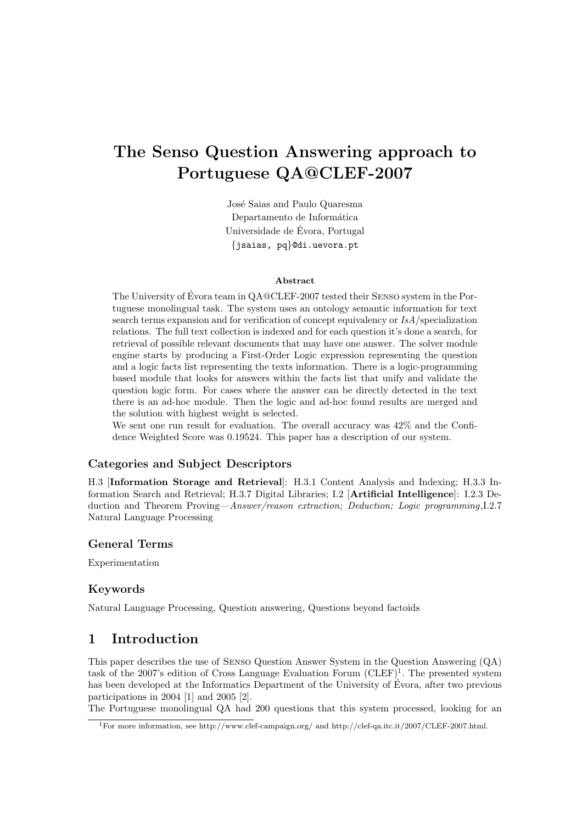# The Senso Question Answering approach to Portuguese QA@CLEF-2007

José Saias and Paulo Quaresma Departamento de Informática Universidade de Evora, Portugal ´ {jsaias, pq}@di.uevora.pt

#### Abstract

The University of Évora team in  $QA@CLEF-2007$  tested their SENSO system in the Portuguese monolingual task. The system uses an ontology semantic information for text search terms expansion and for verification of concept equivalency or  $IsA$ /specialization relations. The full text collection is indexed and for each question it's done a search, for retrieval of possible relevant documents that may have one answer. The solver module engine starts by producing a First-Order Logic expression representing the question and a logic facts list representing the texts information. There is a logic-programming based module that looks for answers within the facts list that unify and validate the question logic form. For cases where the answer can be directly detected in the text there is an ad-hoc module. Then the logic and ad-hoc found results are merged and the solution with highest weight is selected.

We sent one run result for evaluation. The overall accuracy was  $42\%$  and the Confidence Weighted Score was 0.19524. This paper has a description of our system.

#### Categories and Subject Descriptors

H.3 [Information Storage and Retrieval]: H.3.1 Content Analysis and Indexing; H.3.3 Information Search and Retrieval; H.3.7 Digital Libraries; I.2 [Artificial Intelligence]: I.2.3 Deduction and Theorem Proving—Answer/reason extraction; Deduction; Logic programming,I.2.7 Natural Language Processing

#### General Terms

Experimentation

#### Keywords

Natural Language Processing, Question answering, Questions beyond factoids

# 1 Introduction

This paper describes the use of Senso Question Answer System in the Question Answering (QA) task of the 2007's edition of Cross Language Evaluation Forum  $(CDEF)^1$ . The presented system has been developed at the Informatics Department of the University of Évora, after two previous participations in 2004 [1] and 2005 [2].

The Portuguese monolingual QA had 200 questions that this system processed, looking for an

<sup>1</sup>For more information, see http://www.clef-campaign.org/ and http://clef-qa.itc.it/2007/CLEF-2007.html.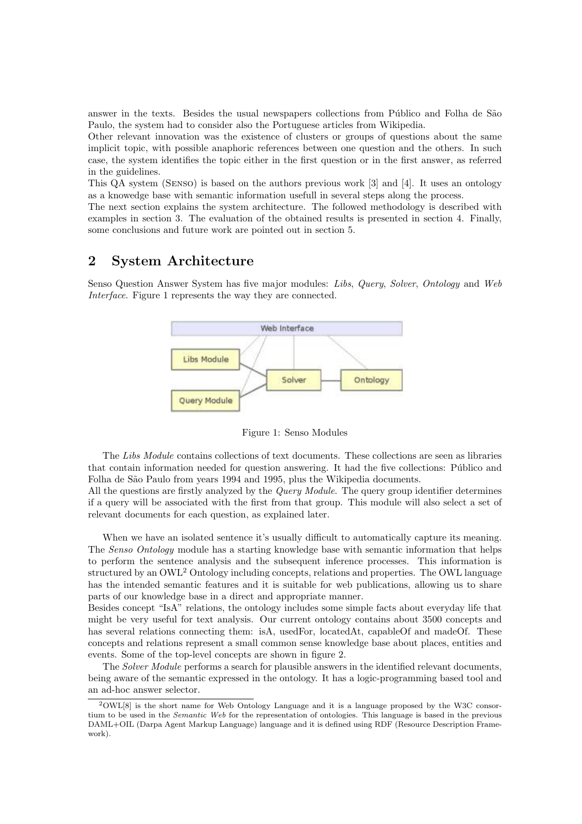answer in the texts. Besides the usual newspapers collections from Público and Folha de São Paulo, the system had to consider also the Portuguese articles from Wikipedia.

Other relevant innovation was the existence of clusters or groups of questions about the same implicit topic, with possible anaphoric references between one question and the others. In such case, the system identifies the topic either in the first question or in the first answer, as referred in the guidelines.

This QA system (Senso) is based on the authors previous work [3] and [4]. It uses an ontology as a knowedge base with semantic information usefull in several steps along the process.

The next section explains the system architecture. The followed methodology is described with examples in section 3. The evaluation of the obtained results is presented in section 4. Finally, some conclusions and future work are pointed out in section 5.

# 2 System Architecture

Senso Question Answer System has five major modules: Libs, Query, Solver, Ontology and Web Interface. Figure 1 represents the way they are connected.



Figure 1: Senso Modules

The Libs Module contains collections of text documents. These collections are seen as libraries that contain information needed for question answering. It had the five collections: Público and Folha de São Paulo from years 1994 and 1995, plus the Wikipedia documents.

All the questions are firstly analyzed by the *Query Module*. The query group identifier determines if a query will be associated with the first from that group. This module will also select a set of relevant documents for each question, as explained later.

When we have an isolated sentence it's usually difficult to automatically capture its meaning. The Senso Ontology module has a starting knowledge base with semantic information that helps to perform the sentence analysis and the subsequent inference processes. This information is structured by an OWL<sup>2</sup> Ontology including concepts, relations and properties. The OWL language has the intended semantic features and it is suitable for web publications, allowing us to share parts of our knowledge base in a direct and appropriate manner.

Besides concept "IsA" relations, the ontology includes some simple facts about everyday life that might be very useful for text analysis. Our current ontology contains about 3500 concepts and has several relations connecting them: isA, usedFor, locatedAt, capableOf and madeOf. These concepts and relations represent a small common sense knowledge base about places, entities and events. Some of the top-level concepts are shown in figure 2.

The *Solver Module* performs a search for plausible answers in the identified relevant documents, being aware of the semantic expressed in the ontology. It has a logic-programming based tool and an ad-hoc answer selector.

<sup>2</sup>OWL[8] is the short name for Web Ontology Language and it is a language proposed by the W3C consortium to be used in the Semantic Web for the representation of ontologies. This language is based in the previous DAML+OIL (Darpa Agent Markup Language) language and it is defined using RDF (Resource Description Framework).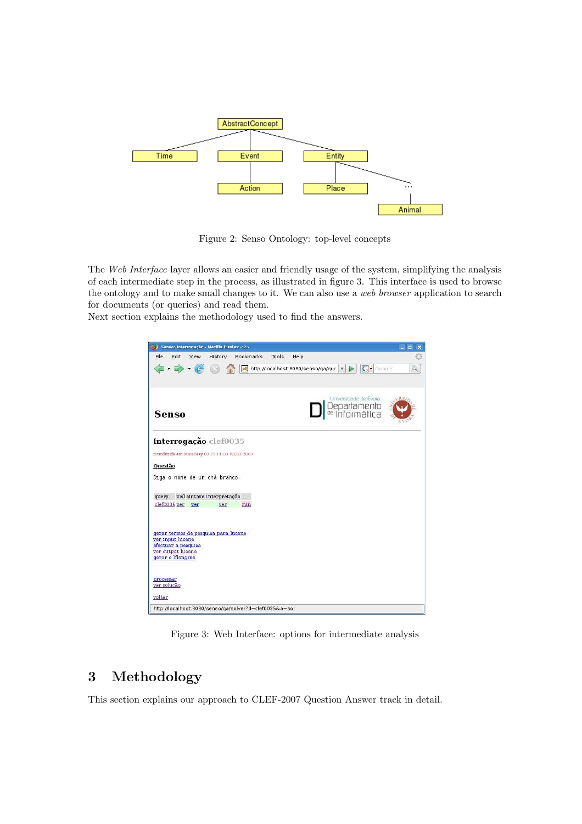

Figure 2: Senso Ontology: top-level concepts

The Web Interface layer allows an easier and friendly usage of the system, simplifying the analysis of each intermediate step in the process, as illustrated in figure 3. This interface is used to browse the ontology and to make small changes to it. We can also use a web browser application to search for documents (or queries) and read them.

Next section explains the methodology used to find the answers.



Figure 3: Web Interface: options for intermediate analysis

# 3 Methodology

This section explains our approach to CLEF-2007 Question Answer track in detail.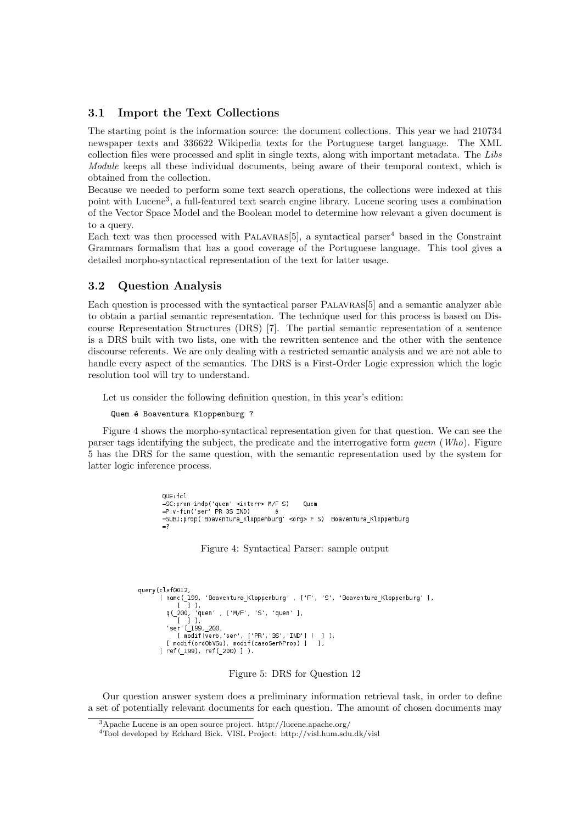#### 3.1 Import the Text Collections

The starting point is the information source: the document collections. This year we had 210734 newspaper texts and 336622 Wikipedia texts for the Portuguese target language. The XML collection files were processed and split in single texts, along with important metadata. The Libs Module keeps all these individual documents, being aware of their temporal context, which is obtained from the collection.

Because we needed to perform some text search operations, the collections were indexed at this point with Lucene<sup>3</sup>, a full-featured text search engine library. Lucene scoring uses a combination of the Vector Space Model and the Boolean model to determine how relevant a given document is to a query.

Each text was then processed with PALAVRAS<sup>[5]</sup>, a syntactical parser<sup>4</sup> based in the Constraint Grammars formalism that has a good coverage of the Portuguese language. This tool gives a detailed morpho-syntactical representation of the text for latter usage.

#### 3.2 Question Analysis

Each question is processed with the syntactical parser Palavras[5] and a semantic analyzer able to obtain a partial semantic representation. The technique used for this process is based on Discourse Representation Structures (DRS) [7]. The partial semantic representation of a sentence is a DRS built with two lists, one with the rewritten sentence and the other with the sentence discourse referents. We are only dealing with a restricted semantic analysis and we are not able to handle every aspect of the semantics. The DRS is a First-Order Logic expression which the logic resolution tool will try to understand.

Let us consider the following definition question, in this year's edition:

```
Quem é Boaventura Kloppenburg ?
```
Figure 4 shows the morpho-syntactical representation given for that question. We can see the parser tags identifying the subject, the predicate and the interrogative form quem (Who). Figure 5 has the DRS for the same question, with the semantic representation used by the system for latter logic inference process.

> $0 \times f \cdot 1$ =SC:pron-indp('quem' <interr> M/F S) Ouem  $= P: v - fin('ser' PR 3S IND)$ =SUBJ:prop('Boaventura\_Kloppenburg' <org> F S) Boaventura\_Kloppenburg  $=$ ?

> > Figure 4: Syntactical Parser: sample output

```
querv(clef0012
.cteroorz;<br>[ name(_199, 'Boaventura_Kloppenburg' , ['F', 'S', 'Boaventura_Kloppenburg' ],
         J ).
      \mathbf{I}q(_200, 'quem' , ['M/F', 'S', 'quem' ],<br>[ ] ),<br>'ser'(_199,_200,
      [ modif(verb, ser', ['PR', '3S', 'IND'] ) ] ),
   [ modif(ordObVSu), modif(casoSerNProp) ]
                                                       \overline{1}.
[ ref( 199), ref( 200) ] ).
```
Figure 5: DRS for Question 12

Our question answer system does a preliminary information retrieval task, in order to define a set of potentially relevant documents for each question. The amount of chosen documents may

<sup>3</sup>Apache Lucene is an open source project. http://lucene.apache.org/

<sup>4</sup>Tool developed by Eckhard Bick. VISL Project: http://visl.hum.sdu.dk/visl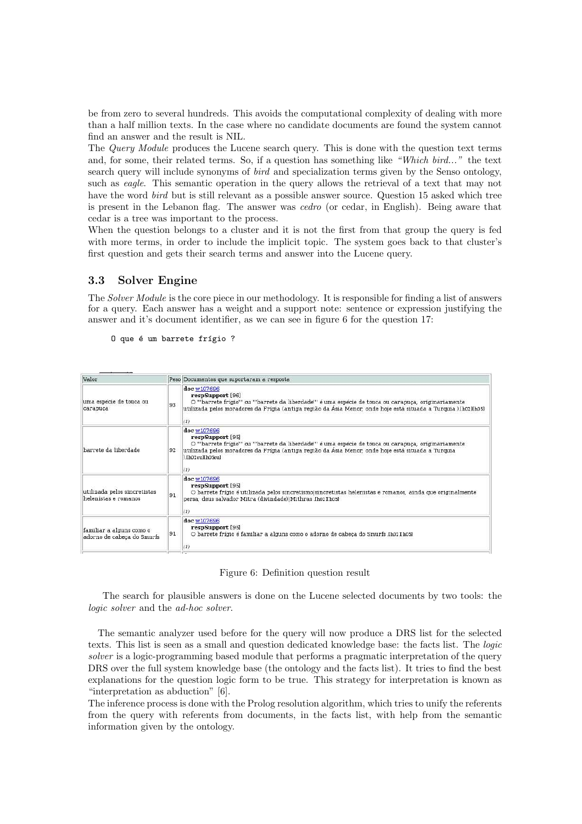be from zero to several hundreds. This avoids the computational complexity of dealing with more than a half million texts. In the case where no candidate documents are found the system cannot find an answer and the result is NIL.

The Query Module produces the Lucene search query. This is done with the question text terms and, for some, their related terms. So, if a question has something like "Which bird..." the text search query will include synonyms of bird and specialization terms given by the Senso ontology, such as *eagle*. This semantic operation in the query allows the retrieval of a text that may not have the word bird but is still relevant as a possible answer source. Question 15 asked which tree is present in the Lebanon flag. The answer was cedro (or cedar, in English). Being aware that cedar is a tree was important to the process.

When the question belongs to a cluster and it is not the first from that group the query is fed with more terms, in order to include the implicit topic. The system goes back to that cluster's first question and gets their search terms and answer into the Lucene query.

# 3.3 Solver Engine

The Solver Module is the core piece in our methodology. It is responsible for finding a list of answers for a query. Each answer has a weight and a support note: sentence or expression justifying the answer and it's document identifier, as we can see in figure 6 for the question 17:

```
O que é um barrete frígio ?
```

| Valor                                                  |    | Peso Documentos que suportaram a resposta                                                                                                                                                                                                                                  |
|--------------------------------------------------------|----|----------------------------------------------------------------------------------------------------------------------------------------------------------------------------------------------------------------------------------------------------------------------------|
| uma espécie de touca ou<br>carapuça                    | 93 | doc w107696<br>respSupport [96]<br>O "'barrete frígio"' ou "'barrete da liberdade'" é uma espécie de touca ou carapuça, originariamente<br>utilizada pelos moradores da Frígia (antiga região da Ásia Menor, onde hoje está situada a Turquia ).[h02][h05]<br>(1)          |
| barrete da liberdade.                                  | 92 | doc w107696<br>respSupport [95]<br>O "'barrete frígio"' ou "'barrete da liberdade'" é uma espécie de touca ou carapuça, originariamente<br>utilizada pelos moradores da Frígia (antiga região da Ásia Menor, onde hoje está situada a Turquia<br>Ib02oulb05oul<br>$^{(1)}$ |
| utilizada pelos sincretistas<br>helenistas e romanos   | 91 | doc w107696<br>respSupport [95]<br>O barrete frígio é utilizada pelos sincretismo sincretistas helenistas e romanos, ainda que originalmente<br>persa, deus salvador Mitra (divindade)  Mithras .[h02][h05]                                                                |
| familiar a alguns como o<br>adorno de cabeça do Smurfs | 91 | doc w107696<br>respSupport [95]<br>O barrete frígio é familiar a alguns como o adorno de cabeça do Smurfs Ih02 IIh051<br>(1)                                                                                                                                               |

Figure 6: Definition question result

The search for plausible answers is done on the Lucene selected documents by two tools: the logic solver and the ad-hoc solver.

The semantic analyzer used before for the query will now produce a DRS list for the selected texts. This list is seen as a small and question dedicated knowledge base: the facts list. The logic solver is a logic-programming based module that performs a pragmatic interpretation of the query DRS over the full system knowledge base (the ontology and the facts list). It tries to find the best explanations for the question logic form to be true. This strategy for interpretation is known as "interpretation as abduction" [6].

The inference process is done with the Prolog resolution algorithm, which tries to unify the referents from the query with referents from documents, in the facts list, with help from the semantic information given by the ontology.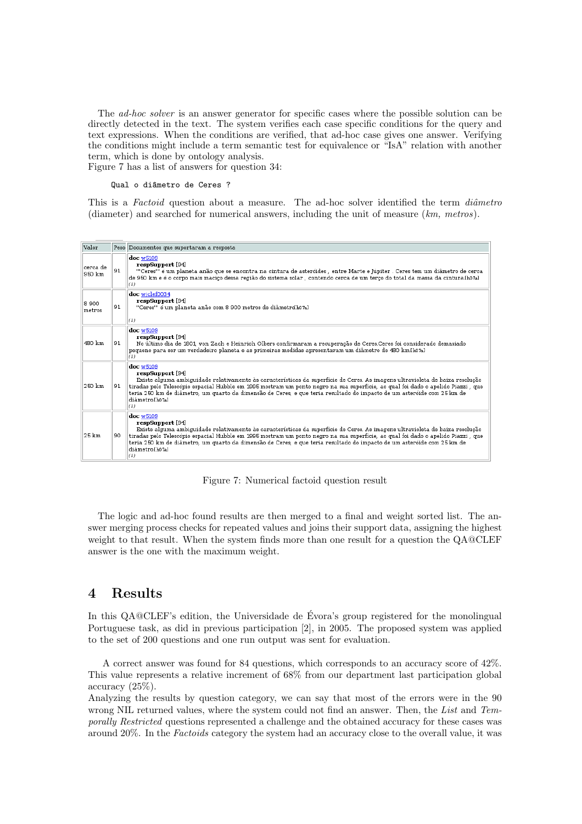The ad-hoc solver is an answer generator for specific cases where the possible solution can be directly detected in the text. The system verifies each case specific conditions for the query and text expressions. When the conditions are verified, that ad-hoc case gives one answer. Verifying the conditions might include a term semantic test for equivalence or "IsA" relation with another term, which is done by ontology analysis.

Figure 7 has a list of answers for question 34:

#### Qual o diâmetro de Ceres ?

This is a Factoid question about a measure. The ad-hoc solver identified the term diâmetro (diameter) and searched for numerical answers, including the unit of measure  $(km, metros)$ .



Figure 7: Numerical factoid question result

The logic and ad-hoc found results are then merged to a final and weight sorted list. The answer merging process checks for repeated values and joins their support data, assigning the highest weight to that result. When the system finds more than one result for a question the QA@CLEF answer is the one with the maximum weight.

# 4 Results

In this QA@CLEF's edition, the Universidade de Évora's group registered for the monolingual Portuguese task, as did in previous participation [2], in 2005. The proposed system was applied to the set of 200 questions and one run output was sent for evaluation.

A correct answer was found for 84 questions, which corresponds to an accuracy score of 42%. This value represents a relative increment of 68% from our department last participation global accuracy (25%).

Analyzing the results by question category, we can say that most of the errors were in the 90 wrong NIL returned values, where the system could not find an answer. Then, the List and Temporally Restricted questions represented a challenge and the obtained accuracy for these cases was around 20%. In the Factoids category the system had an accuracy close to the overall value, it was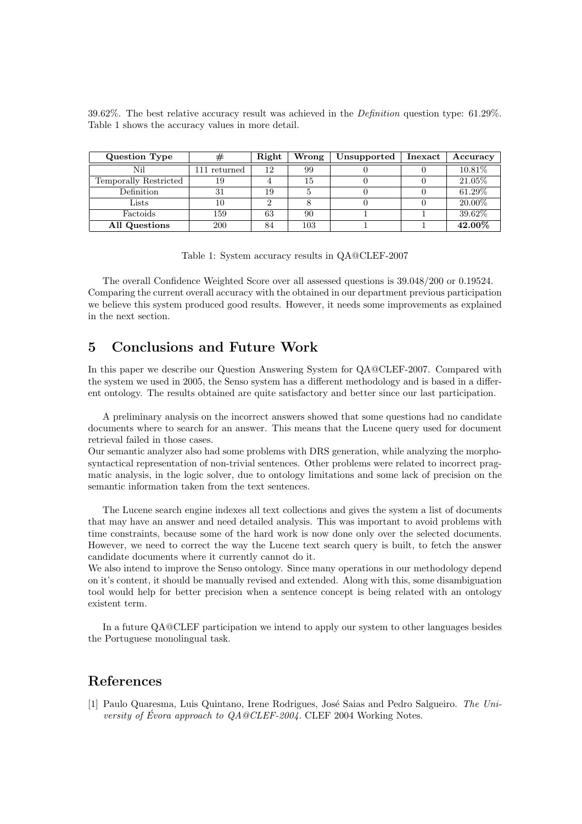|                                                   |  |  |  | 39.62%. The best relative accuracy result was achieved in the <i>Definition</i> question type: 61.29%. |  |  |
|---------------------------------------------------|--|--|--|--------------------------------------------------------------------------------------------------------|--|--|
| Table 1 shows the accuracy values in more detail. |  |  |  |                                                                                                        |  |  |

| Question Type         | #              | Right | Wrong | Unsupported | Inexact | Accuracy  |
|-----------------------|----------------|-------|-------|-------------|---------|-----------|
| Nil                   | $111$ returned | 12    | 99    |             |         | 10.81\%   |
| Temporally Restricted | 19             |       | 15    |             |         | $21.05\%$ |
| Definition            |                | 19    |       |             |         | 61.29%    |
| Lists                 | 10             |       |       |             |         | $20.00\%$ |
| Factoids              | 159            | 63    | 90    |             |         | $39.62\%$ |
| All Questions         | 200            | 84    | 103   |             |         | 42.00%    |

Table 1: System accuracy results in QA@CLEF-2007

The overall Confidence Weighted Score over all assessed questions is 39.048/200 or 0.19524. Comparing the current overall accuracy with the obtained in our department previous participation we believe this system produced good results. However, it needs some improvements as explained in the next section.

# 5 Conclusions and Future Work

In this paper we describe our Question Answering System for QA@CLEF-2007. Compared with the system we used in 2005, the Senso system has a different methodology and is based in a different ontology. The results obtained are quite satisfactory and better since our last participation.

A preliminary analysis on the incorrect answers showed that some questions had no candidate documents where to search for an answer. This means that the Lucene query used for document retrieval failed in those cases.

Our semantic analyzer also had some problems with DRS generation, while analyzing the morphosyntactical representation of non-trivial sentences. Other problems were related to incorrect pragmatic analysis, in the logic solver, due to ontology limitations and some lack of precision on the semantic information taken from the text sentences.

The Lucene search engine indexes all text collections and gives the system a list of documents that may have an answer and need detailed analysis. This was important to avoid problems with time constraints, because some of the hard work is now done only over the selected documents. However, we need to correct the way the Lucene text search query is built, to fetch the answer candidate documents where it currently cannot do it.

We also intend to improve the Senso ontology. Since many operations in our methodology depend on it's content, it should be manually revised and extended. Along with this, some disambiguation tool would help for better precision when a sentence concept is being related with an ontology existent term.

In a future QA@CLEF participation we intend to apply our system to other languages besides the Portuguese monolingual task.

# References

[1] Paulo Quaresma, Luis Quintano, Irene Rodrigues, José Saias and Pedro Salgueiro. The University of Évora approach to  $QA@CLEF-2004$ . CLEF 2004 Working Notes.